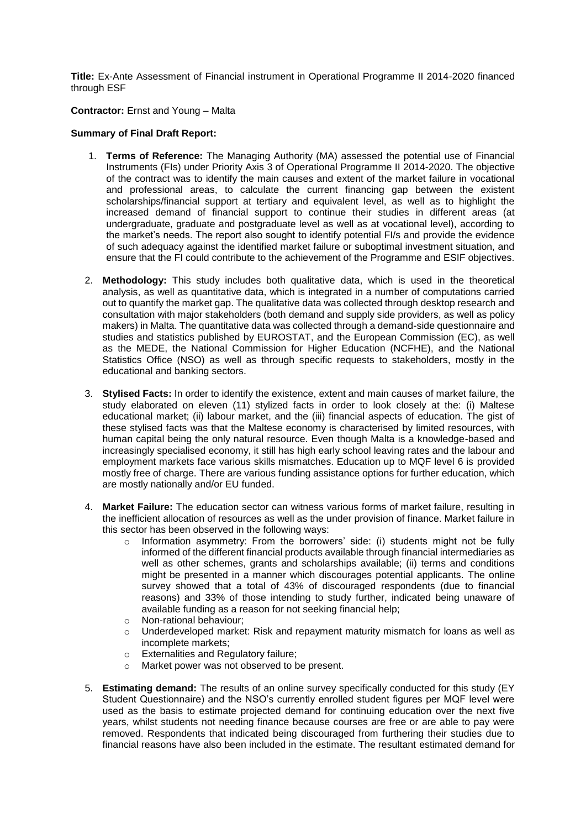**Title:** Ex-Ante Assessment of Financial instrument in Operational Programme II 2014-2020 financed through ESF

**Contractor:** Ernst and Young – Malta

# **Summary of Final Draft Report:**

- 1. **Terms of Reference:** The Managing Authority (MA) assessed the potential use of Financial Instruments (FIs) under Priority Axis 3 of Operational Programme II 2014-2020. The objective of the contract was to identify the main causes and extent of the market failure in vocational and professional areas, to calculate the current financing gap between the existent scholarships/financial support at tertiary and equivalent level, as well as to highlight the increased demand of financial support to continue their studies in different areas (at undergraduate, graduate and postgraduate level as well as at vocational level), according to the market's needs. The report also sought to identify potential FI/s and provide the evidence of such adequacy against the identified market failure or suboptimal investment situation, and ensure that the FI could contribute to the achievement of the Programme and ESIF objectives.
- 2. **Methodology:** This study includes both qualitative data, which is used in the theoretical analysis, as well as quantitative data, which is integrated in a number of computations carried out to quantify the market gap. The qualitative data was collected through desktop research and consultation with major stakeholders (both demand and supply side providers, as well as policy makers) in Malta. The quantitative data was collected through a demand-side questionnaire and studies and statistics published by EUROSTAT, and the European Commission (EC), as well as the MEDE, the National Commission for Higher Education (NCFHE), and the National Statistics Office (NSO) as well as through specific requests to stakeholders, mostly in the educational and banking sectors.
- 3. **Stylised Facts:** In order to identify the existence, extent and main causes of market failure, the study elaborated on eleven (11) stylized facts in order to look closely at the: (i) Maltese educational market; (ii) labour market, and the (iii) financial aspects of education. The gist of these stylised facts was that the Maltese economy is characterised by limited resources, with human capital being the only natural resource. Even though Malta is a knowledge-based and increasingly specialised economy, it still has high early school leaving rates and the labour and employment markets face various skills mismatches. Education up to MQF level 6 is provided mostly free of charge. There are various funding assistance options for further education, which are mostly nationally and/or EU funded.
- 4. **Market Failure:** The education sector can witness various forms of market failure, resulting in the inefficient allocation of resources as well as the under provision of finance. Market failure in this sector has been observed in the following ways:
	- $\circ$  Information asymmetry: From the borrowers' side: (i) students might not be fully informed of the different financial products available through financial intermediaries as well as other schemes, grants and scholarships available; (ii) terms and conditions might be presented in a manner which discourages potential applicants. The online survey showed that a total of 43% of discouraged respondents (due to financial reasons) and 33% of those intending to study further, indicated being unaware of available funding as a reason for not seeking financial help;
	- o Non-rational behaviour;
	- $\circ$  Underdeveloped market: Risk and repayment maturity mismatch for loans as well as incomplete markets;
	- o Externalities and Regulatory failure;
	- o Market power was not observed to be present.
- 5. **Estimating demand:** The results of an online survey specifically conducted for this study (EY Student Questionnaire) and the NSO's currently enrolled student figures per MQF level were used as the basis to estimate projected demand for continuing education over the next five years, whilst students not needing finance because courses are free or are able to pay were removed. Respondents that indicated being discouraged from furthering their studies due to financial reasons have also been included in the estimate. The resultant estimated demand for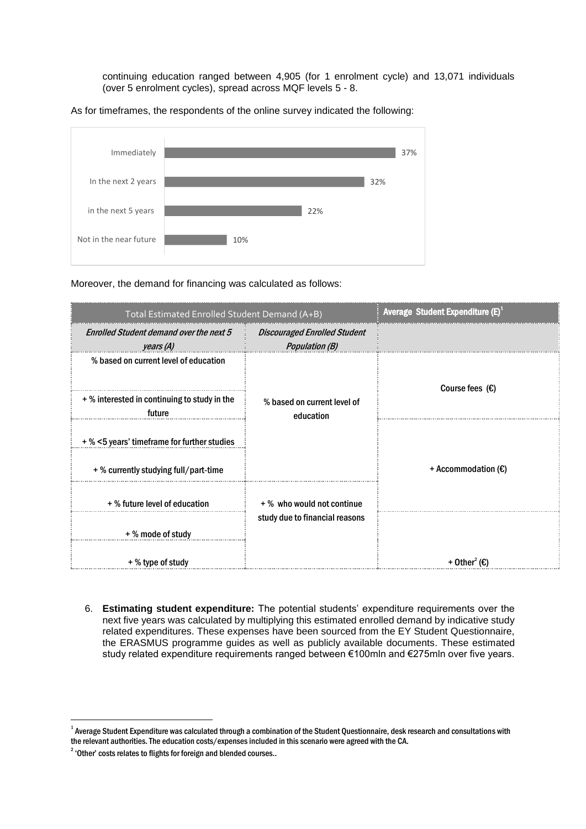continuing education ranged between 4,905 (for 1 enrolment cycle) and 13,071 individuals (over 5 enrolment cycles), spread across MQF levels 5 - 8.

As for timeframes, the respondents of the online survey indicated the following:



Moreover, the demand for financing was calculated as follows:

| Total Estimated Enrolled Student Demand (A+B)               |                                                       | Average Student Expenditure (E) <sup>1</sup> |
|-------------------------------------------------------------|-------------------------------------------------------|----------------------------------------------|
| <b>Enrolled Student demand over the next 5</b><br>years (A) | <b>Discouraged Enrolled Student</b><br>Population (B) |                                              |
| % based on current level of education                       | % based on current level of<br>education              | Course fees $(E)$                            |
| + % interested in continuing to study in the<br>future      |                                                       |                                              |
| + % <5 years' timeframe for further studies                 |                                                       |                                              |
| + % currently studying full/part-time                       |                                                       | + Accommodation $(E)$                        |
| +% future level of education                                | +% who would not continue                             |                                              |
| + % mode of study                                           | study due to financial reasons                        |                                              |
| + % type of study                                           |                                                       | + Other <sup>2</sup> (€)                     |

6. **Estimating student expenditure:** The potential students' expenditure requirements over the next five years was calculated by multiplying this estimated enrolled demand by indicative study related expenditures. These expenses have been sourced from the EY Student Questionnaire, the ERASMUS programme guides as well as publicly available documents. These estimated study related expenditure requirements ranged between €100mln and €275mln over five years.

.

 $^{\rm 1}$  Average Student Expenditure was calculated through a combination of the Student Questionnaire, desk research and consultations with the relevant authorities. The education costs/expenses included in this scenario were agreed with the CA.

 $2^2$  'Other' costs relates to flights for foreign and blended courses..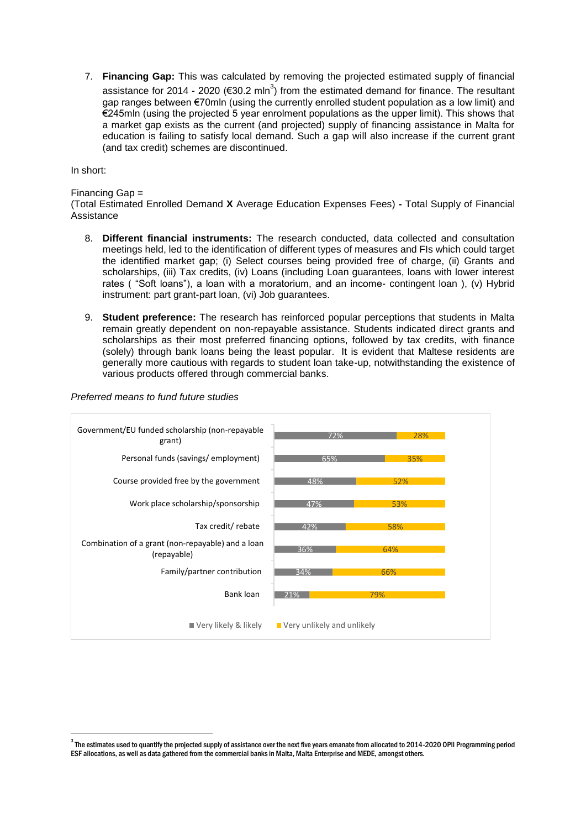7. **Financing Gap:** This was calculated by removing the projected estimated supply of financial assistance for 2014 - 2020 (€30.2 mln<sup>3</sup>) from the estimated demand for finance. The resultant gap ranges between €70mln (using the currently enrolled student population as a low limit) and €245mln (using the projected 5 year enrolment populations as the upper limit). This shows that a market gap exists as the current (and projected) supply of financing assistance in Malta for education is failing to satisfy local demand. Such a gap will also increase if the current grant (and tax credit) schemes are discontinued.

In short:

.

### Financing Gap =

(Total Estimated Enrolled Demand **X** Average Education Expenses Fees) **-** Total Supply of Financial Assistance

- 8. **Different financial instruments:** The research conducted, data collected and consultation meetings held, led to the identification of different types of measures and FIs which could target the identified market gap; (i) Select courses being provided free of charge, (ii) Grants and scholarships, (iii) Tax credits, (iv) Loans (including Loan guarantees, loans with lower interest rates ( "Soft loans"), a loan with a moratorium, and an income- contingent loan ), (v) Hybrid instrument: part grant-part loan, (vi) Job guarantees.
- 9. **Student preference:** The research has reinforced popular perceptions that students in Malta remain greatly dependent on non-repayable assistance. Students indicated direct grants and scholarships as their most preferred financing options, followed by tax credits, with finance (solely) through bank loans being the least popular. It is evident that Maltese residents are generally more cautious with regards to student loan take-up, notwithstanding the existence of various products offered through commercial banks.



#### *Preferred means to fund future studies*

 $^{\rm 3}$  The estimates used to quantify the projected supply of assistance over the next five years emanate from allocated to 2014-2020 OPII Programming period ESF allocations, as well as data gathered from the commercial banks in Malta, Malta Enterprise and MEDE, amongst others.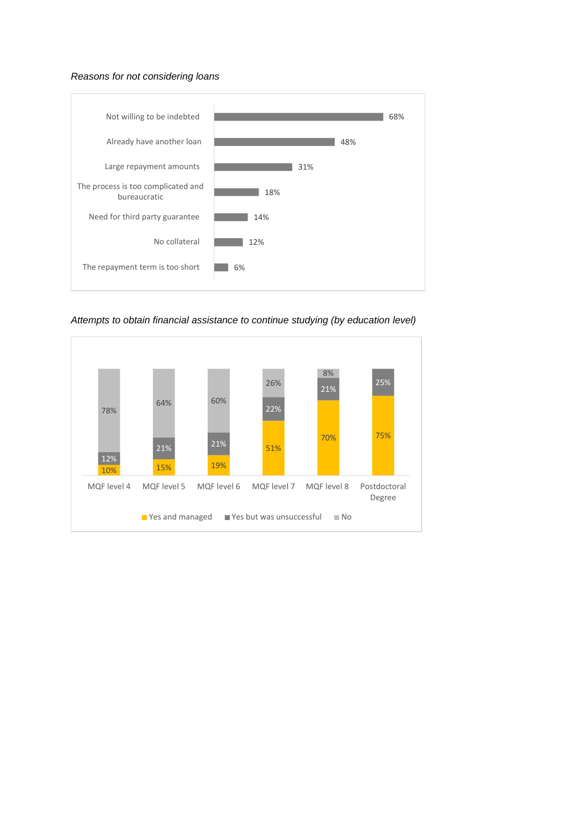# *Reasons for not considering loans*



*Attempts to obtain financial assistance to continue studying (by education level)*

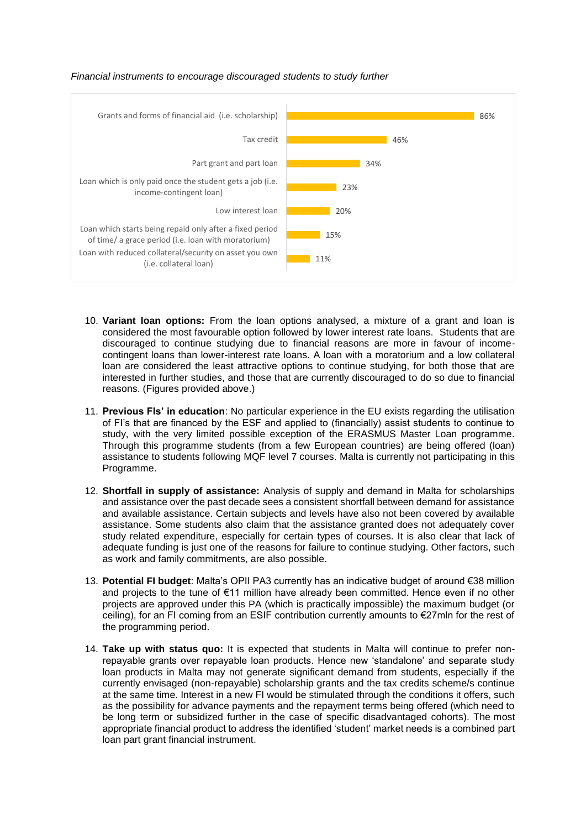



- 10. **Variant loan options:** From the loan options analysed, a mixture of a grant and loan is considered the most favourable option followed by lower interest rate loans. Students that are discouraged to continue studying due to financial reasons are more in favour of incomecontingent loans than lower-interest rate loans. A loan with a moratorium and a low collateral loan are considered the least attractive options to continue studying, for both those that are interested in further studies, and those that are currently discouraged to do so due to financial reasons. (Figures provided above.)
- 11. **Previous FIs' in education**: No particular experience in the EU exists regarding the utilisation of FI's that are financed by the ESF and applied to (financially) assist students to continue to study, with the very limited possible exception of the ERASMUS Master Loan programme. Through this programme students (from a few European countries) are being offered (loan) assistance to students following MQF level 7 courses. Malta is currently not participating in this Programme.
- 12. **Shortfall in supply of assistance:** Analysis of supply and demand in Malta for scholarships and assistance over the past decade sees a consistent shortfall between demand for assistance and available assistance. Certain subjects and levels have also not been covered by available assistance. Some students also claim that the assistance granted does not adequately cover study related expenditure, especially for certain types of courses. It is also clear that lack of adequate funding is just one of the reasons for failure to continue studying. Other factors, such as work and family commitments, are also possible.
- 13. **Potential FI budget**: Malta's OPII PA3 currently has an indicative budget of around €38 million and projects to the tune of €11 million have already been committed. Hence even if no other projects are approved under this PA (which is practically impossible) the maximum budget (or ceiling), for an FI coming from an ESIF contribution currently amounts to €27mln for the rest of the programming period.
- 14. **Take up with status quo:** It is expected that students in Malta will continue to prefer nonrepayable grants over repayable loan products. Hence new 'standalone' and separate study loan products in Malta may not generate significant demand from students, especially if the currently envisaged (non-repayable) scholarship grants and the tax credits scheme/s continue at the same time. Interest in a new FI would be stimulated through the conditions it offers, such as the possibility for advance payments and the repayment terms being offered (which need to be long term or subsidized further in the case of specific disadvantaged cohorts). The most appropriate financial product to address the identified 'student' market needs is a combined part loan part grant financial instrument.